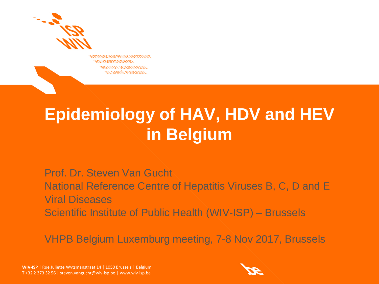

**WETENSCHAPPELIJK INSTITUUT VOLKSGEZONDHEID INSTITUT SCIENTIFIQUE** DE SANTÉ PUBLIQUE

## **Epidemiology of HAV, HDV and HEV in Belgium**

Prof. Dr. Steven Van Gucht National Reference Centre of Hepatitis Viruses B, C, D and E Viral Diseases Scientific Institute of Public Health (WIV-ISP) – Brussels

VHPB Belgium Luxemburg meeting, 7-8 Nov 2017, Brussels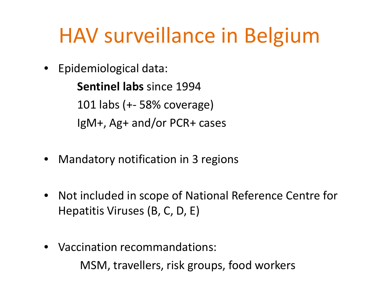## HAV surveillance in Belgium

• Epidemiological data:

**Sentinel labs** since 1994 101 labs (+- 58% coverage) IgM+, Ag+ and/or PCR+ cases

- Mandatory notification in 3 regions
- Not included in scope of National Reference Centre for Hepatitis Viruses (B, C, D, E)
- Vaccination recommandations: MSM, travellers, risk groups, food workers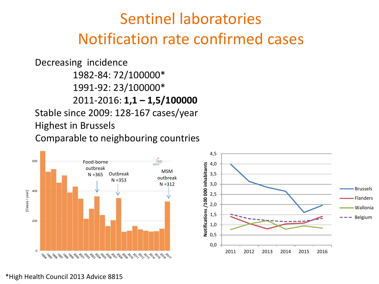### Sentinel laboratories Notification rate confirmed cases

Decreasing incidence 1982-84: 72/100000\* 1991-92: 23/100000\* 2011-2016: **1,1 – 1,5/100000** Stable since 2009: 128-167 cases/year Highest in Brussels Comparable to neighbouring countries

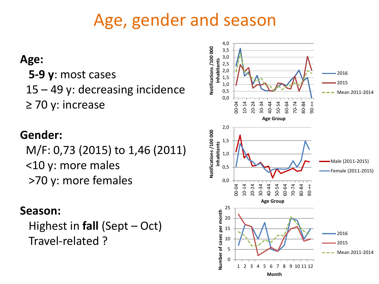## Age, gender and season

### **Age:**

 **5-9 y**: most cases 15 – 49 y: decreasing incidence ≥ 70 y: increase

### **Gender:**

M/F: 0,73 (2015) to 1,46 (2011) <10 y: more males >70 y: more females

### **Season:**

 Highest in **fall** (Sept – Oct) Travel-related ?

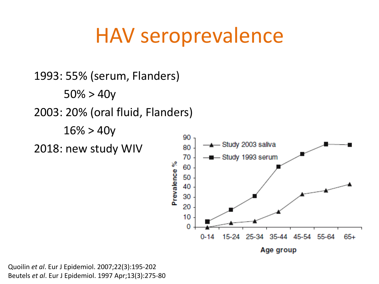## HAV seroprevalence

1993: 55% (serum, Flanders)  $50\% > 40y$ 2003: 20% (oral fluid, Flanders)  $16\% > 40y$ 90 Study 2003 saliva 2018: new study WIV 80 70 — Study 1993 serum Prevalence % 60 50 40 30 20  $10$ 0 15-24 25-34 35-44 45-54 55-64  $65+$  $0 - 14$ Age group

Quoilin *et al*. Eur J Epidemiol. 2007;22(3):195-202 Beutels *et al*. Eur J Epidemiol. 1997 Apr;13(3):275-80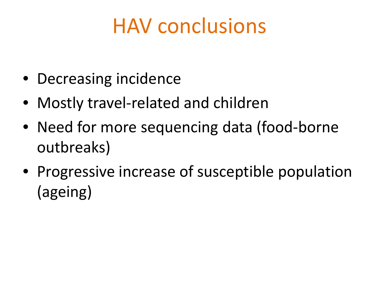## HAV conclusions

- Decreasing incidence
- Mostly travel-related and children
- Need for more sequencing data (food-borne outbreaks)
- Progressive increase of susceptible population (ageing)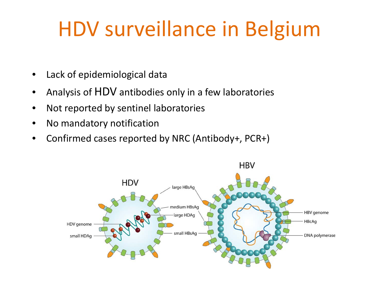## HDV surveillance in Belgium

- Lack of epidemiological data
- Analysis of HDV antibodies only in a few laboratories
- Not reported by sentinel laboratories
- No mandatory notification
- Confirmed cases reported by NRC (Antibody+, PCR+)

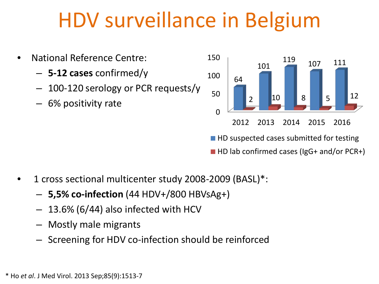## HDV surveillance in Belgium

• National Reference Centre: – **5-12 cases** confirmed/y – 100-120 serology or PCR requests/y – 6% positivity rate  $\Omega$ 50 100 150 2012 2013 2014 2015 2016 64 101 <sup>119</sup> <sup>107</sup> <sup>111</sup> 2 10 8 5 12  $\blacksquare$  HD suspected cases submitted for testing

■ HD lab confirmed cases (IgG+ and/or PCR+)

- 1 cross sectional multicenter study 2008-2009 (BASL)\*:
	- **5,5% co-infection** (44 HDV+/800 HBVsAg+)
	- 13.6% (6/44) also infected with HCV
	- Mostly male migrants
	- Screening for HDV co-infection should be reinforced

\* Ho *et al*. J Med Virol. 2013 Sep;85(9):1513-7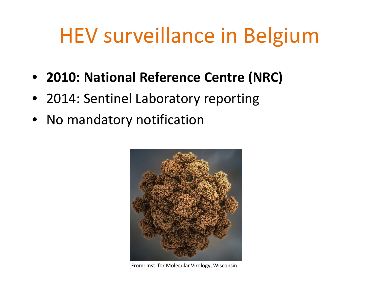## HEV surveillance in Belgium

- **2010: National Reference Centre (NRC)**
- 2014: Sentinel Laboratory reporting
- No mandatory notification



From: Inst. for Molecular Virology, Wisconsin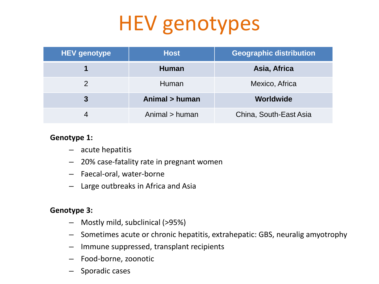# HEV genotypes

| <b>HEV genotype</b> | <b>Host</b>    | <b>Geographic distribution</b> |
|---------------------|----------------|--------------------------------|
|                     | <b>Human</b>   | Asia, Africa                   |
|                     | Human          | Mexico, Africa                 |
| $\overline{3}$      | Animal > human | Worldwide                      |
|                     | Animal > human | China, South-East Asia         |

#### **Genotype 1:**

- acute hepatitis
- 20% case-fatality rate in pregnant women
- Faecal-oral, water-borne
- Large outbreaks in Africa and Asia

#### **Genotype 3:**

- Mostly mild, subclinical (>95%)
- Sometimes acute or chronic hepatitis, extrahepatic: GBS, neuralig amyotrophy
- Immune suppressed, transplant recipients
- Food-borne, zoonotic
- Sporadic cases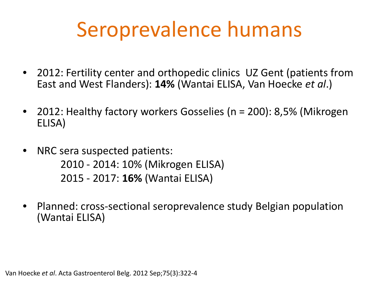## Seroprevalence humans

- 2012: Fertility center and orthopedic clinics UZ Gent (patients from East and West Flanders): **14%** (Wantai ELISA, Van Hoecke *et al*.)
- 2012: Healthy factory workers Gosselies (n = 200): 8,5% (Mikrogen ELISA)
- NRC sera suspected patients: 2010 - 2014: 10% (Mikrogen ELISA) 2015 - 2017: **16%** (Wantai ELISA)
- Planned: cross-sectional seroprevalence study Belgian population (Wantai ELISA)

Van Hoecke *et al*. Acta Gastroenterol Belg. 2012 Sep;75(3):322-4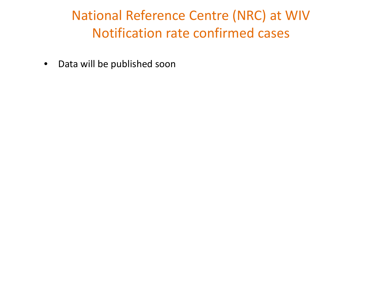### National Reference Centre (NRC) at WIV Notification rate confirmed cases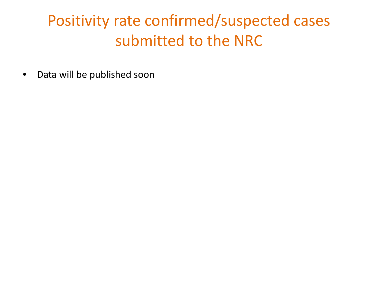### Positivity rate confirmed/suspected cases submitted to the NRC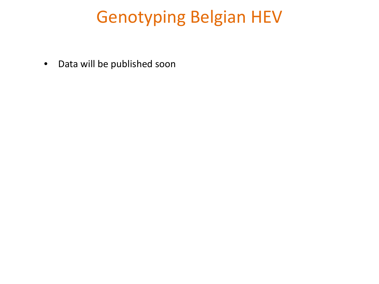## Genotyping Belgian HEV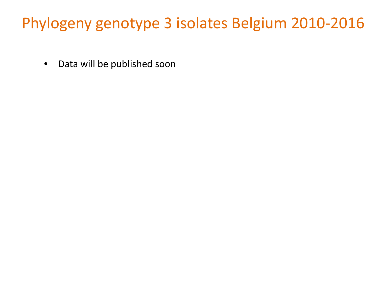### Phylogeny genotype 3 isolates Belgium 2010-2016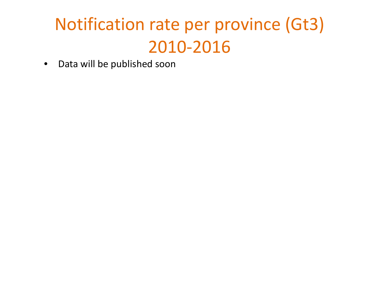## Notification rate per province (Gt3) 2010-2016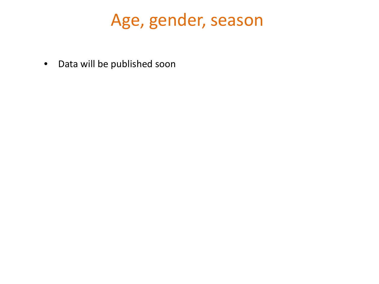### Age, gender, season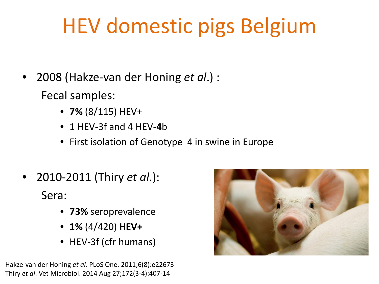# HEV domestic pigs Belgium

• 2008 (Hakze-van der Honing *et al*.) :

Fecal samples:

- **7%** (8/115) HEV+
- 1 HEV-3f and 4 HEV-**4**b
- First isolation of Genotype 4 in swine in Europe
- 2010-2011 (Thiry *et al*.): Sera:
	- **73%** seroprevalence
	- **1%** (4/420) **HEV+**
	- HEV-3f (cfr humans)

Hakze-van der Honing *et al*. PLoS One. 2011;6(8):e22673 Thiry *et al*. Vet Microbiol. 2014 Aug 27;172(3-4):407-14

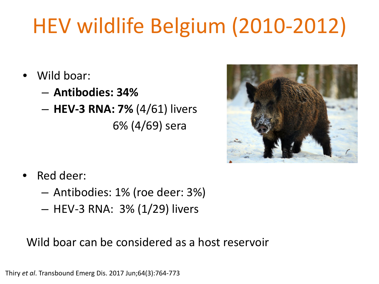# HEV wildlife Belgium (2010-2012)

- Wild boar:
	- **Antibodies: 34%**
	- **HEV-3 RNA: 7%** (4/61) livers 6% (4/69) sera



- Red deer:
	- Antibodies: 1% (roe deer: 3%)
	- HEV-3 RNA: 3% (1/29) livers

Wild boar can be considered as a host reservoir

Thiry *et al*. Transbound Emerg Dis. 2017 Jun;64(3):764-773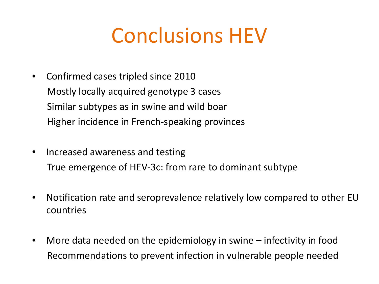## Conclusions HEV

- Confirmed cases tripled since 2010 Mostly locally acquired genotype 3 cases Similar subtypes as in swine and wild boar Higher incidence in French-speaking provinces
- Increased awareness and testing True emergence of HEV-3c: from rare to dominant subtype
- Notification rate and seroprevalence relatively low compared to other EU countries
- More data needed on the epidemiology in swine infectivity in food Recommendations to prevent infection in vulnerable people needed